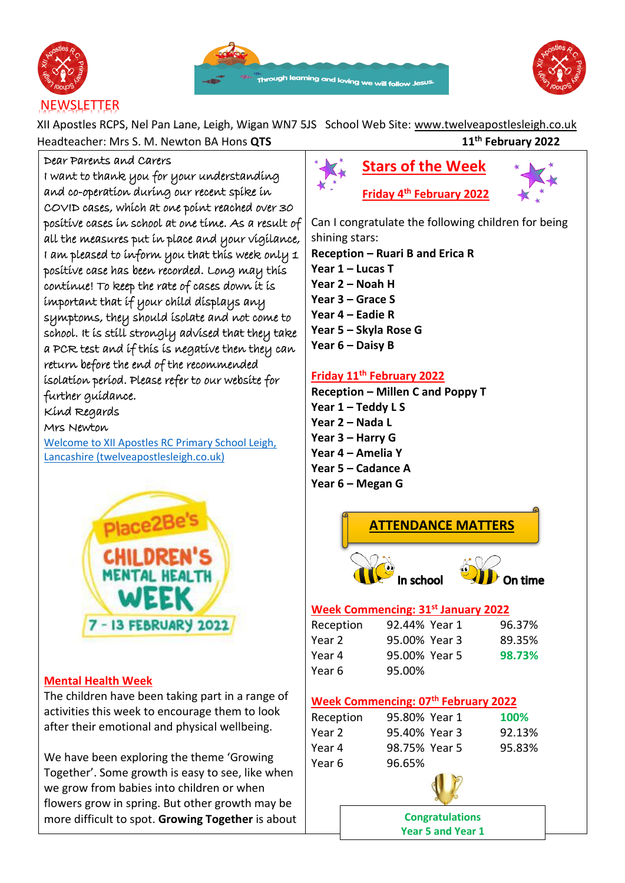





XII Apostles RCPS, Nel Pan Lane, Leigh, Wigan WN7 5JS School Web Site: [www.twelveapostlesleigh.co.uk](http://www.twelveapostlesleigh.co.uk/)  Headteacher: Mrs S. M. Newton BA Hons **QTS 11th February 2022**

#### Dear Parents and Carers

I want to thank you for your understanding and co-operation during our recent spike in COVID cases, which at one point reached over 30 positive cases in school at one time. As a result of all the measures put in place and your vigilance, I am pleased to inform you that this week only 1 positive case has been recorded. Long may this continue! To keep the rate of cases down it is important that if your child displays any symptoms, they should isolate and not come to school. It is still strongly advised that they take a PCR test and if this is negative then they can return before the end of the recommended isolation period. Please refer to our website for further guidance.

Kind Regards

Mrs Newton

[Welcome to XII Apostles RC Primary School Leigh,](https://www.twelveapostlesleigh.co.uk/)  [Lancashire \(twelveapostlesleigh.co.uk\)](https://www.twelveapostlesleigh.co.uk/)



#### **Mental Health Week**

The children have been taking part in a range of activities this week to encourage them to look after their emotional and physical wellbeing.

We have been exploring the theme 'Growing Together'. Some growth is easy to see, like when we grow from babies into children or when flowers grow in spring. But other growth may be more difficult to spot. **Growing Together** is about



Can I congratulate the following children for being shining stars:

**Reception – Ruari B and Erica R Year 1 – Lucas T Year 2 – Noah H Year 3 – Grace S Year 4 – Eadie R Year 5 – Skyla Rose G Year 6 – Daisy B**

#### **Friday 11th February 2022**

**Reception – Millen C and Poppy T Year 1 – Teddy L S Year 2 – Nada L Year 3 – Harry G Year 4 – Amelia Y Year 5 – Cadance A Year 6 – Megan G**



**Year 5 and Year 1**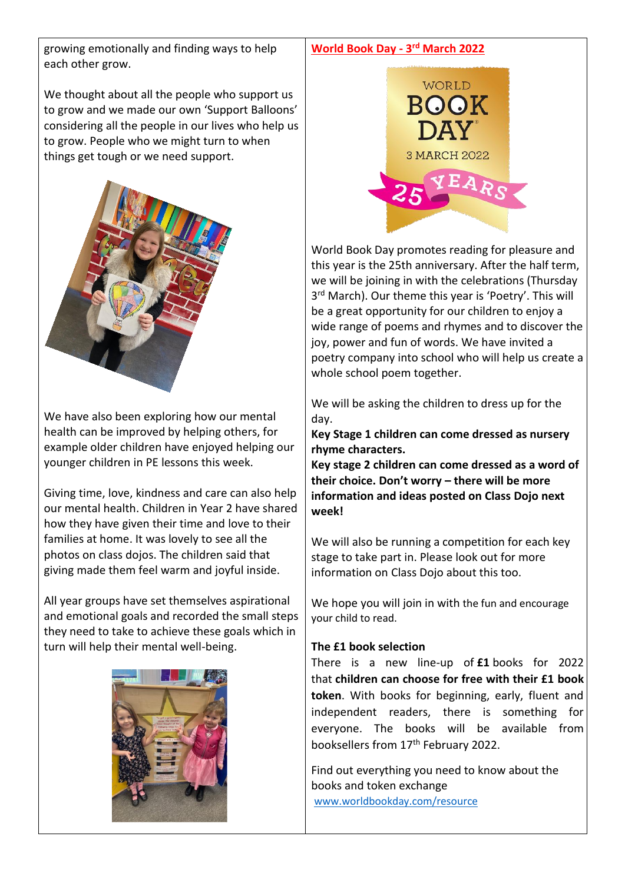growing emotionally and finding ways to help each other grow.

We thought about all the people who support us to grow and we made our own 'Support Balloons' considering all the people in our lives who help us to grow. People who we might turn to when things get tough or we need support.



We have also been exploring how our mental health can be improved by helping others, for example older children have enjoyed helping our younger children in PE lessons this week.

Giving time, love, kindness and care can also help our mental health. Children in Year 2 have shared how they have given their time and love to their families at home. It was lovely to see all the photos on class dojos. The children said that giving made them feel warm and joyful inside.

All year groups have set themselves aspirational and emotional goals and recorded the small steps they need to take to achieve these goals which in turn will help their mental well-being.





World Book Day promotes reading for pleasure and this year is the 25th anniversary. After the half term, we will be joining in with the celebrations (Thursday 3<sup>rd</sup> March). Our theme this year is 'Poetry'. This will be a great opportunity for our children to enjoy a wide range of poems and rhymes and to discover the joy, power and fun of words. We have invited a poetry company into school who will help us create a whole school poem together.

We will be asking the children to dress up for the day.

**Key Stage 1 children can come dressed as nursery rhyme characters.**

**Key stage 2 children can come dressed as a word of their choice. Don't worry – there will be more information and ideas posted on Class Dojo next week!**

We will also be running a competition for each key stage to take part in. Please look out for more information on Class Dojo about this too.

We hope you will join in with the fun and encourage your child to read.

#### **The £1 book selection**

There is a new line-up of **£1** books for 2022 that **children can choose for free with their £1 book token**. With books for beginning, early, fluent and independent readers, there is something for everyone. The books will be available from booksellers from 17<sup>th</sup> February 2022.

Find out everything you need to know about the books and token exchange [www.worldbookday.com/resource](http://www.worldbookday.com/resource)